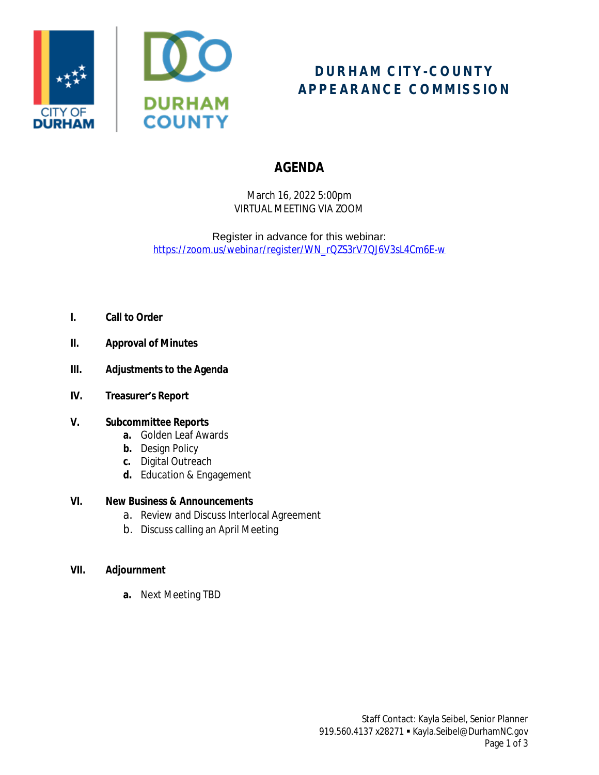



# **DURHAM CITY-COUNTY APPEARANCE COMMISSION**

## **AGENDA**

March 16, 2022 5:00pm VIRTUAL MEETING VIA ZOOM

Register in advance for this webinar: *[https://zoom.us/webinar/register/WN\\_rQZS3rV7QJ6V3sL4Cm6E-w](https://zoom.us/webinar/register/WN_rQZS3rV7QJ6V3sL4Cm6E-w)*

- **I. Call to Order**
- **II. Approval of Minutes**
- **III. Adjustments to the Agenda**
- **IV. Treasurer's Report**

## **V. Subcommittee Reports**

- **a.** Golden Leaf Awards
- **b.** Design Policy
- **c.** Digital Outreach
- **d.** Education & Engagement

## **VI. New Business & Announcements**

- a. Review and Discuss Interlocal Agreement
- b. Discuss calling an April Meeting

## **VII. Adjournment**

**a.** Next Meeting TBD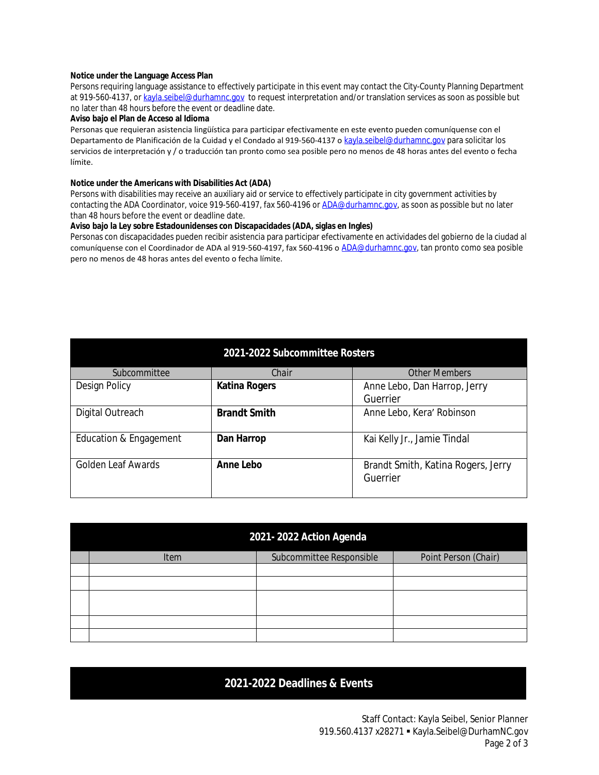#### **Notice under the Language Access Plan**

Persons requiring language assistance to effectively participate in this event may contact the City-County Planning Department at 919-560-4137, or [kayla.seibel@durhamnc.gov](mailto:kayla.seibel@durhamnc.gov) to request interpretation and/or translation services as soon as possible but no later than 48 hours before the event or deadline date.

#### **Aviso bajo el Plan de Acceso al Idioma**

Personas que requieran asistencia lingüística para participar efectivamente en este evento pueden comuníquense con el Departamento de Planificación de la Cuidad y el Condado al 919-560-4137 o [kayla.seibel@durhamnc.gov](mailto:kayla.seibel@durhamnc.gov) para solicitar los servicios de interpretación y / o traducción tan pronto como sea posible pero no menos de 48 horas antes del evento o fecha límite.

#### **Notice under the Americans with Disabilities Act (ADA)**

Persons with disabilities may receive an auxiliary aid or service to effectively participate in city government activities by contacting the ADA Coordinator, voice 919-560-4197, fax 560-4196 or [ADA@durhamnc.gov](mailto:ADA@durhamnc.gov), as soon as possible but no later than 48 hours before the event or deadline date.

#### **Aviso bajo la Ley sobre Estadounidenses con Discapacidades (ADA, siglas en Ingles)**

Personas con discapacidades pueden recibir asistencia para participar efectivamente en actividades del gobierno de la ciudad al comuníquense con el Coordinador de ADA al 919-560-4197, fax 560-4196 o [ADA@durhamnc.gov,](mailto:ADA@durhamnc.gov) tan pronto como sea posible pero no menos de 48 horas antes del evento o fecha límite.

| 2021-2022 Subcommittee Rosters |                      |                                                |  |  |  |
|--------------------------------|----------------------|------------------------------------------------|--|--|--|
| Subcommittee                   | Chair                | <b>Other Members</b>                           |  |  |  |
| <b>Design Policy</b>           | <b>Katina Rogers</b> | Anne Lebo, Dan Harrop, Jerry                   |  |  |  |
|                                |                      | Guerrier                                       |  |  |  |
| Digital Outreach               | <b>Brandt Smith</b>  | Anne Lebo, Kera' Robinson                      |  |  |  |
| Education & Engagement         | Dan Harrop           | Kai Kelly Jr., Jamie Tindal                    |  |  |  |
| <b>Golden Leaf Awards</b>      | Anne Lebo            | Brandt Smith, Katina Rogers, Jerry<br>Guerrier |  |  |  |

| 2021-2022 Action Agenda |             |                          |                      |  |  |
|-------------------------|-------------|--------------------------|----------------------|--|--|
|                         | <b>Item</b> | Subcommittee Responsible | Point Person (Chair) |  |  |
|                         |             |                          |                      |  |  |
|                         |             |                          |                      |  |  |
|                         |             |                          |                      |  |  |
|                         |             |                          |                      |  |  |
|                         |             |                          |                      |  |  |

## **2021-2022 Deadlines & Events**